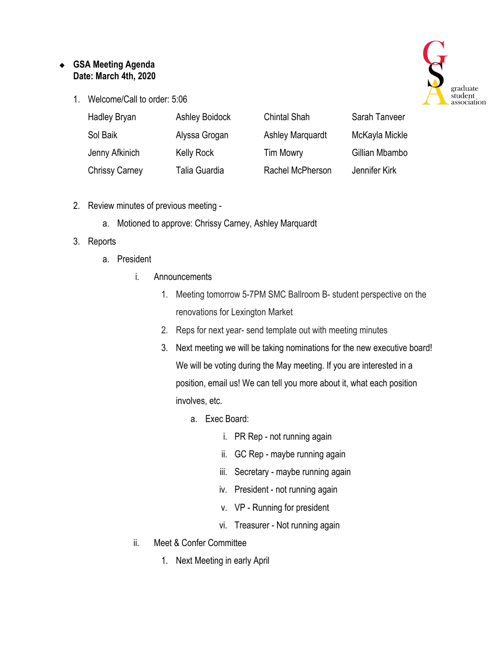## ❖ **GSA Meeting Agenda Date: March 4th, 2020**

1. Welcome/Call to order: 5:06



| <b>Hadley Bryan</b>   | <b>Ashley Boidock</b> | <b>Chintal Shah</b>     | Sarah Tanveer  |
|-----------------------|-----------------------|-------------------------|----------------|
| Sol Baik              | Alyssa Grogan         | <b>Ashley Marquardt</b> | McKayla Mickle |
| Jenny Afkinich        | <b>Kelly Rock</b>     | <b>Tim Mowry</b>        | Gillian Mbambo |
| <b>Chrissy Carney</b> | Talia Guardia         | Rachel McPherson        | Jennifer Kirk  |

- 2. Review minutes of previous meeting
	- a. Motioned to approve: Chrissy Carney, Ashley Marquardt

## 3. Reports

- a. President
	- i. Announcements
		- 1. Meeting tomorrow 5-7PM SMC Ballroom B- student perspective on the renovations for Lexington Market
		- 2. Reps for next year- send template out with meeting minutes
		- 3. Next meeting we will be taking nominations for the new executive board! We will be voting during the May meeting. If you are interested in a position, email us! We can tell you more about it, what each position involves, etc.
			- a. Exec Board:
				- i. PR Rep not running again
				- ii. GC Rep maybe running again
				- iii. Secretary maybe running again
				- iv. President not running again
				- v. VP Running for president
				- vi. Treasurer Not running again
	- ii. Meet & Confer Committee
		- 1. Next Meeting in early April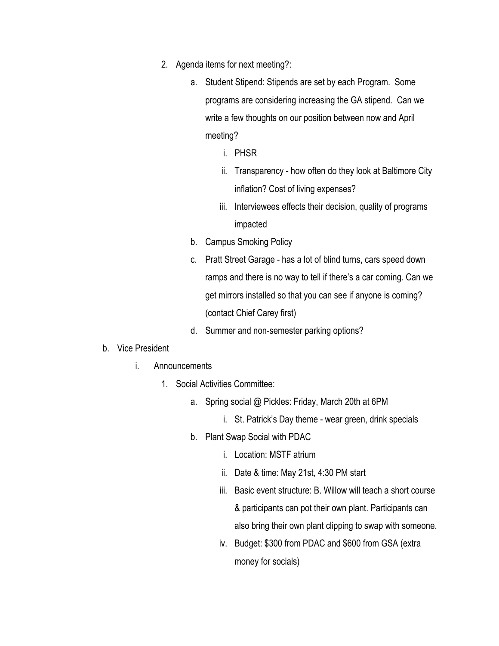- 2. Agenda items for next meeting?:
	- a. Student Stipend: Stipends are set by each Program. Some programs are considering increasing the GA stipend. Can we write a few thoughts on our position between now and April meeting?
		- i. PHSR
		- ii. Transparency how often do they look at Baltimore City inflation? Cost of living expenses?
		- iii. Interviewees effects their decision, quality of programs impacted
	- b. Campus Smoking Policy
	- c. Pratt Street Garage has a lot of blind turns, cars speed down ramps and there is no way to tell if there's a car coming. Can we get mirrors installed so that you can see if anyone is coming? (contact Chief Carey first)
	- d. Summer and non-semester parking options?
- b. Vice President
	- i. Announcements
		- 1. Social Activities Committee:
			- a. Spring social @ Pickles: Friday, March 20th at 6PM
				- i. St. Patrick's Day theme wear green, drink specials
			- b. Plant Swap Social with PDAC
				- i. Location: MSTF atrium
				- ii. Date & time: May 21st, 4:30 PM start
				- iii. Basic event structure: B. Willow will teach a short course & participants can pot their own plant. Participants can also bring their own plant clipping to swap with someone.
				- iv. Budget: \$300 from PDAC and \$600 from GSA (extra money for socials)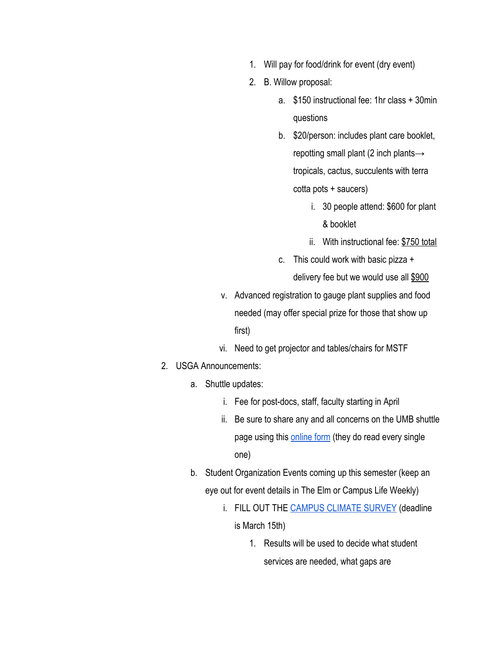- 1. Will pay for food/drink for event (dry event)
- 2. B. Willow proposal:
	- a. \$150 instructional fee: 1hr class + 30min questions
	- b. \$20/person: includes plant care booklet, repotting small plant (2 inch plants→ tropicals, cactus, succulents with terra cotta pots + saucers)
		- i. 30 people attend: \$600 for plant & booklet
		- ii. With instructional fee: \$750 total
	- c. This could work with basic pizza +

delivery fee but we would use all \$900

- v. Advanced registration to gauge plant supplies and food needed (may offer special prize for those that show up first)
- vi. Need to get projector and tables/chairs for MSTF
- 2. USGA Announcements:
	- a. Shuttle updates:
		- i. Fee for post-docs, staff, faculty starting in April
		- ii. Be sure to share any and all concerns on the UMB shuttle page using this [online form](https://www.umaryland.edu/shuttlebus/suggestions/) (they do read every single one)
	- b. Student Organization Events coming up this semester (keep an eye out for event details in The Elm or Campus Life Weekly)
		- i. FILL OUT THE [CAMPUS CLIMATE SURVEY](https://myemail.constantcontact.com/Deadline-Extended---Brief-survey-on-the-campus-climate-for-diversity.html?soid=1103690441323&aid=EnLG6WVnzgQ) (deadline is March 15th)
			- 1. Results will be used to decide what student services are needed, what gaps are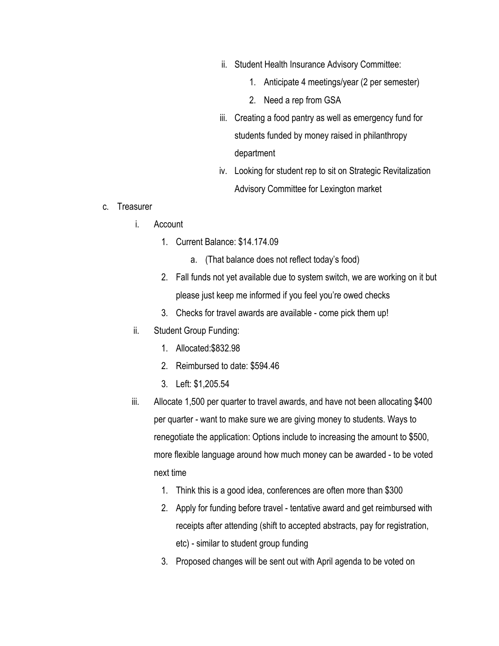- ii. Student Health Insurance Advisory Committee:
	- 1. Anticipate 4 meetings/year (2 per semester)
	- 2. Need a rep from GSA
- iii. Creating a food pantry as well as emergency fund for students funded by money raised in philanthropy department
- iv. Looking for student rep to sit on Strategic Revitalization Advisory Committee for Lexington market
- c. Treasurer
	- i. Account
		- 1. Current Balance: \$14.174.09
			- a. (That balance does not reflect today's food)
		- 2. Fall funds not yet available due to system switch, we are working on it but please just keep me informed if you feel you're owed checks
		- 3. Checks for travel awards are available come pick them up!
	- ii. Student Group Funding:
		- 1. Allocated:\$832.98
		- 2. Reimbursed to date: \$594.46
		- 3. Left: \$1,205.54
	- iii. Allocate 1,500 per quarter to travel awards, and have not been allocating \$400 per quarter - want to make sure we are giving money to students. Ways to renegotiate the application: Options include to increasing the amount to \$500, more flexible language around how much money can be awarded - to be voted next time
		- 1. Think this is a good idea, conferences are often more than \$300
		- 2. Apply for funding before travel tentative award and get reimbursed with receipts after attending (shift to accepted abstracts, pay for registration, etc) - similar to student group funding
		- 3. Proposed changes will be sent out with April agenda to be voted on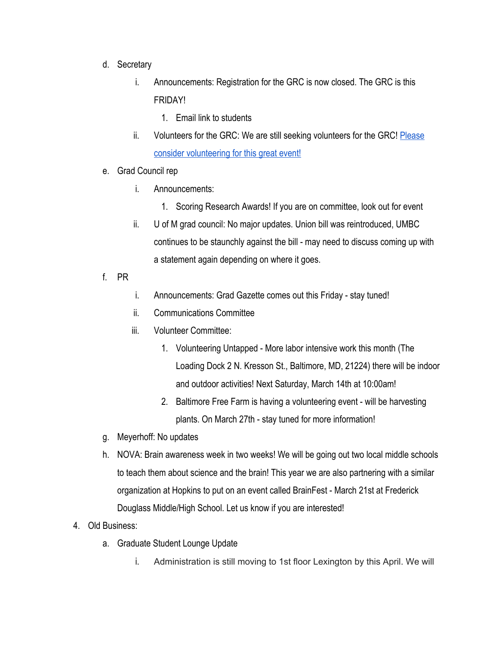- d. Secretary
	- i. Announcements: Registration for the GRC is now closed. The GRC is this FRIDAY!
		- 1. Email link to students
	- ii. Volunteers for the GRC: We are still seeking volunteers for the GRC! [Please](https://docs.google.com/spreadsheets/d/1vWx3_roSMCO1BXRP6zBYSPWIrPm-ZvPW0xdvqIUh6_Y/edit?usp=sharing) [consider volunteering for this great event!](https://docs.google.com/spreadsheets/d/1vWx3_roSMCO1BXRP6zBYSPWIrPm-ZvPW0xdvqIUh6_Y/edit?usp=sharing)
- e. Grad Council rep
	- i. Announcements:
		- 1. Scoring Research Awards! If you are on committee, look out for event
	- ii. U of M grad council: No major updates. Union bill was reintroduced, UMBC continues to be staunchly against the bill - may need to discuss coming up with a statement again depending on where it goes.
- f. PR
- i. Announcements: Grad Gazette comes out this Friday stay tuned!
- ii. Communications Committee
- iii. Volunteer Committee:
	- 1. Volunteering Untapped More labor intensive work this month (The Loading Dock 2 N. Kresson St., Baltimore, MD, 21224) there will be indoor and outdoor activities! Next Saturday, March 14th at 10:00am!
	- 2. Baltimore Free Farm is having a volunteering event will be harvesting plants. On March 27th - stay tuned for more information!
- g. Meyerhoff: No updates
- h. NOVA: Brain awareness week in two weeks! We will be going out two local middle schools to teach them about science and the brain! This year we are also partnering with a similar organization at Hopkins to put on an event called BrainFest - March 21st at Frederick Douglass Middle/High School. Let us know if you are interested!
- 4. Old Business:
	- a. Graduate Student Lounge Update
		- i. Administration is still moving to 1st floor Lexington by this April. We will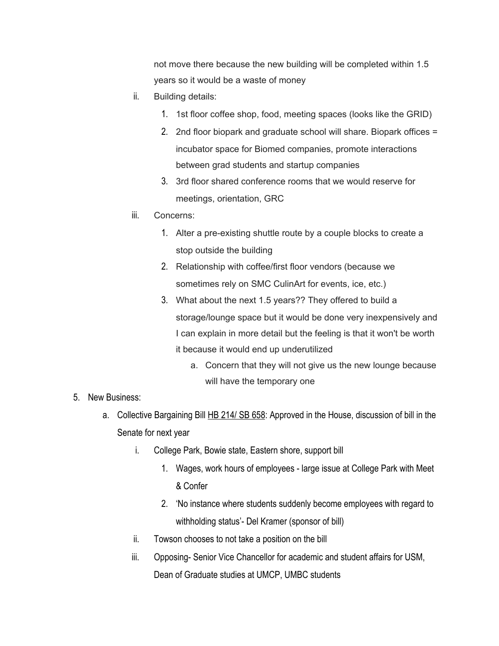not move there because the new building will be completed within 1.5 years so it would be a waste of money

- ii. Building details:
	- 1. 1st floor coffee shop, food, meeting spaces (looks like the GRID)
	- 2. 2nd floor biopark and graduate school will share. Biopark offices = incubator space for Biomed companies, promote interactions between grad students and startup companies
	- 3. 3rd floor shared conference rooms that we would reserve for meetings, orientation, GRC
- iii. Concerns:
	- 1. Alter a pre-existing shuttle route by a couple blocks to create a stop outside the building
	- 2. Relationship with coffee/first floor vendors (because we sometimes rely on SMC CulinArt for events, ice, etc.)
	- 3. What about the next 1.5 years?? They offered to build a storage/lounge space but it would be done very inexpensively and I can explain in more detail but the feeling is that it won't be worth it because it would end up underutilized
		- a. Concern that they will not give us the new lounge because will have the temporary one
- 5. New Business:
	- a. Collective Bargaining Bill [HB 214/ SB 658:](http://mgaleg.maryland.gov/mgawebsite/Legislation/Details/HB0214?ys=2020RS) Approved in the House, discussion of bill in the Senate for next year
		- i. College Park, Bowie state, Eastern shore, support bill
			- 1. Wages, work hours of employees large issue at College Park with Meet & Confer
			- 2. 'No instance where students suddenly become employees with regard to withholding status'- Del Kramer (sponsor of bill)
		- ii. Towson chooses to not take a position on the bill
		- iii. Opposing- Senior Vice Chancellor for academic and student affairs for USM, Dean of Graduate studies at UMCP, UMBC students